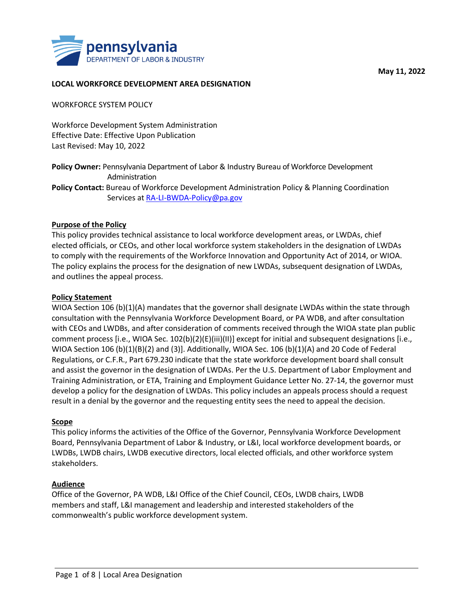

### **LOCAL WORKFORCE DEVELOPMENT AREA DESIGNATION**

WORKFORCE SYSTEM POLICY

Workforce Development System Administration Effective Date: Effective Upon Publication Last Revised: May 10, 2022

**Policy Owner:** Pennsylvania Department of Labor & Industry Bureau of Workforce Development Administration

**Policy Contact:** Bureau of Workforce Development Administration Policy & Planning Coordination Services at [RA-LI-BWDA-Policy@pa.gov](mailto:RA-LI-BWDA-Policy@pa.gov)

#### **Purpose of the Policy**

This policy provides technical assistance to local workforce development areas, or LWDAs, chief elected officials, or CEOs, and other local workforce system stakeholders in the designation of LWDAs to comply with the requirements of the Workforce Innovation and Opportunity Act of 2014, or WIOA. The policy explains the process for the designation of new LWDAs, subsequent designation of LWDAs, and outlines the appeal process.

#### **Policy Statement**

WIOA Section 106 (b)(1)(A) mandates that the governor shall designate LWDAs within the state through consultation with the Pennsylvania Workforce Development Board, or PA WDB, and after consultation with CEOs and LWDBs, and after consideration of comments received through the WIOA state plan public comment process [i.e., WIOA Sec. 102(b)(2)(E)(iii)(II)] except for initial and subsequent designations [i.e., WIOA Section 106 (b)(1)(B)(2) and (3)]. Additionally, WIOA Sec. 106 (b)(1)(A) and 20 Code of Federal Regulations, or C.F.R., Part 679.230 indicate that the state workforce development board shall consult and assist the governor in the designation of LWDAs. Per the U.S. Department of Labor Employment and Training Administration, or ETA, Training and Employment Guidance Letter No. 27-14, the governor must develop a policy for the designation of LWDAs. This policy includes an appeals process should a request result in a denial by the governor and the requesting entity sees the need to appeal the decision.

#### **Scope**

This policy informs the activities of the Office of the Governor, Pennsylvania Workforce Development Board, Pennsylvania Department of Labor & Industry, or L&I, local workforce development boards, or LWDBs, LWDB chairs, LWDB executive directors, local elected officials, and other workforce system stakeholders.

#### **Audience**

Office of the Governor, PA WDB, L&I Office of the Chief Council, CEOs, LWDB chairs, LWDB members and staff, L&I management and leadership and interested stakeholders of the commonwealth's public workforce development system.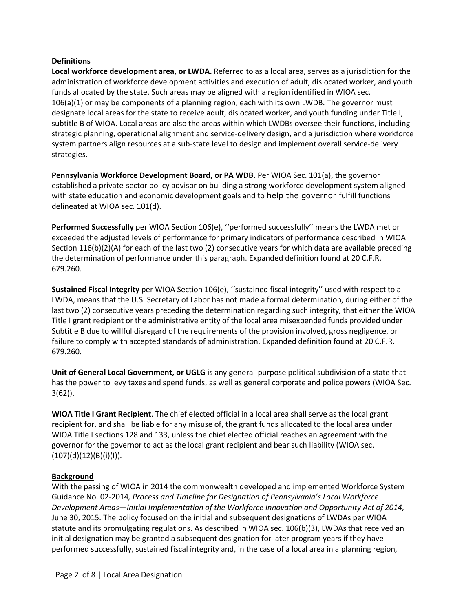## **Definitions**

**Local workforce development area, or LWDA.** Referred to as a local area, serves as a jurisdiction for the administration of workforce development activities and execution of adult, dislocated worker, and youth funds allocated by the state. Such areas may be aligned with a region identified in WIOA sec. 106(a)(1) or may be components of a planning region, each with its own LWDB. The governor must designate local areas for the state to receive adult, dislocated worker, and youth funding under Title I, subtitle B of WIOA. Local areas are also the areas within which LWDBs oversee their functions, including strategic planning, operational alignment and service-delivery design, and a jurisdiction where workforce system partners align resources at a sub-state level to design and implement overall service-delivery strategies.

**Pennsylvania Workforce Development Board, or PA WDB**. Per WIOA Sec. 101(a), the governor established a private-sector policy advisor on building a strong workforce development system aligned with state education and economic development goals and to help the governor fulfill functions delineated at WIOA sec. 101(d).

**Performed Successfully** per WIOA Section 106(e), ''performed successfully'' means the LWDA met or exceeded the adjusted levels of performance for primary indicators of performance described in WIOA Section 116(b)(2)(A) for each of the last two (2) consecutive years for which data are available preceding the determination of performance under this paragraph. Expanded definition found at 20 C.F.R. 679.260.

**Sustained Fiscal Integrity** per WIOA Section 106(e), ''sustained fiscal integrity'' used with respect to a LWDA, means that the U.S. Secretary of Labor has not made a formal determination, during either of the last two (2) consecutive years preceding the determination regarding such integrity, that either the WIOA Title I grant recipient or the administrative entity of the local area misexpended funds provided under Subtitle B due to willful disregard of the requirements of the provision involved, gross negligence, or failure to comply with accepted standards of administration. Expanded definition found at 20 C.F.R. 679.260.

**Unit of General Local Government, or UGLG** is any general-purpose political subdivision of a state that has the power to levy taxes and spend funds, as well as general corporate and police powers (WIOA Sec. 3(62)).

**WIOA Title I Grant Recipient**. The chief elected official in a local area shall serve as the local grant recipient for, and shall be liable for any misuse of, the grant funds allocated to the local area under WIOA Title I sections 128 and 133, unless the chief elected official reaches an agreement with the governor for the governor to act as the local grant recipient and bear such liability (WIOA sec.  $(107)(d)(12)(B)(i)(l)).$ 

# **Background**

With the passing of WIOA in 2014 the commonwealth developed and implemented Workforce System Guidance No. 02-2014*, Process and Timeline for Designation of Pennsylvania's Local Workforce Development Areas—Initial Implementation of the Workforce Innovation and Opportunity Act of 2014*, June 30, 2015. The policy focused on the initial and subsequent designations of LWDAs per WIOA statute and its promulgating regulations. As described in WIOA sec. 106(b)(3), LWDAs that received an initial designation may be granted a subsequent designation for later program years if they have performed successfully, sustained fiscal integrity and, in the case of a local area in a planning region,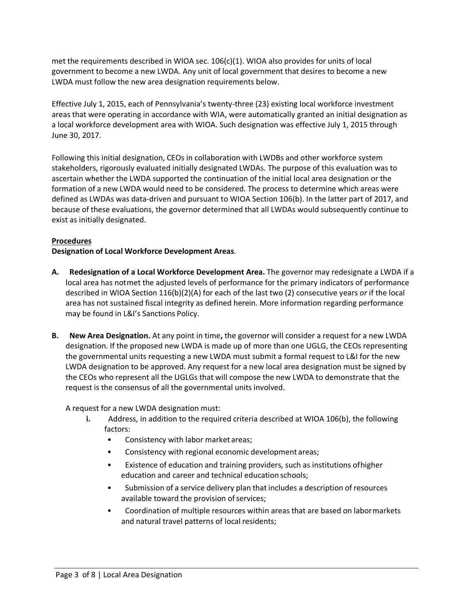met the requirements described in WIOA sec. 106(c)(1). WIOA also provides for units of local government to become a new LWDA. Any unit of local government that desires to become a new LWDA must follow the new area designation requirements below.

Effective July 1, 2015, each of Pennsylvania's twenty-three (23) existing local workforce investment areas that were operating in accordance with WIA, were automatically granted an initial designation as a local workforce development area with WIOA. Such designation was effective July 1, 2015 through June 30, 2017.

Following this initial designation, CEOs in collaboration with LWDBs and other workforce system stakeholders, rigorously evaluated initially designated LWDAs. The purpose of this evaluation was to ascertain whether the LWDA supported the continuation of the initial local area designation or the formation of a new LWDA would need to be considered. The process to determine which areas were defined as LWDAs was data-driven and pursuant to WIOA Section 106(b). In the latter part of 2017, and because of these evaluations, the governor determined that all LWDAs would subsequently continue to exist as initially designated.

# **Procedures**

**Designation of Local Workforce Development Areas**.

- **A. Redesignation of a Local Workforce Development Area.** The governor may redesignate a LWDA if a local area has notmet the adjusted levels of performance for the primary indicators of performance described in WIOA Section 116(b)(2)(A) for each of the last two (2) consecutive years *or* if the local area has not sustained fiscal integrity as defined herein. More information regarding performance may be found in L&I's Sanctions Policy.
- **B. New Area Designation.** At any point in time**,** the governor will consider a request for a new LWDA designation. If the proposed new LWDA is made up of more than one UGLG, the CEOs representing the governmental units requesting a new LWDA must submit a formal request to L&I for the new LWDA designation to be approved. Any request for a new local area designation must be signed by the CEOs who represent all the UGLGs that will compose the new LWDA to demonstrate that the request is the consensus of all the governmental units involved.

A request for a new LWDA designation must:

- **i.** Address, in addition to the required criteria described at WIOA 106(b), the following factors:
	- Consistency with labor market areas;
	- Consistency with regional economic development areas;
	- Existence of education and training providers, such as institutions ofhigher education and career and technical education schools;
	- Submission of a service delivery plan that includes a description of resources available toward the provision of services;
	- Coordination of multiple resources within areas that are based on labormarkets and natural travel patterns of local residents;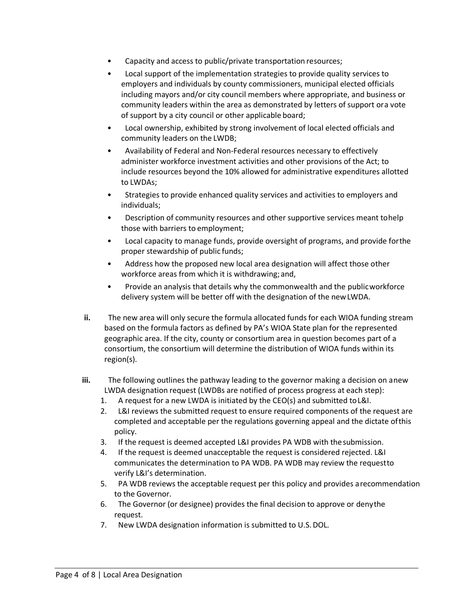- Capacity and access to public/private transportation resources;
- Local support of the implementation strategies to provide quality services to employers and individuals by county commissioners, municipal elected officials including mayors and/or city council members where appropriate, and business or community leaders within the area as demonstrated by letters of support ora vote of support by a city council or other applicable board;
- Local ownership, exhibited by strong involvement of local elected officials and community leaders on the LWDB;
- Availability of Federal and Non-Federal resources necessary to effectively administer workforce investment activities and other provisions of the Act; to include resources beyond the 10% allowed for administrative expenditures allotted to LWDAs;
- Strategies to provide enhanced quality services and activities to employers and individuals;
- Description of community resources and other supportive services meant tohelp those with barriers to employment;
- Local capacity to manage funds, provide oversight of programs, and provide forthe proper stewardship of public funds;
- Address how the proposed new local area designation will affect those other workforce areas from which it is withdrawing; and,
- Provide an analysis that details why the commonwealth and the publicworkforce delivery system will be better off with the designation of the newLWDA.
- **ii.** The new area will only secure the formula allocated funds for each WIOA funding stream based on the formula factors as defined by PA's WIOA State plan for the represented geographic area. If the city, county or consortium area in question becomes part of a consortium, the consortium will determine the distribution of WIOA funds within its region(s).
- **iii.** The following outlines the pathway leading to the governor making a decision on anew LWDA designation request (LWDBs are notified of process progress at each step):
	- 1. A request for a new LWDA is initiated by the CEO(s) and submitted toL&I.
	- 2. L&I reviews the submitted request to ensure required components of the request are completed and acceptable per the regulations governing appeal and the dictate ofthis policy.
	- 3. If the request is deemed accepted L&I provides PA WDB with thesubmission.
	- 4. If the request is deemed unacceptable the request is considered rejected. L&I communicates the determination to PA WDB. PA WDB may review the requestto verify L&I's determination.
	- 5. PA WDB reviews the acceptable request per this policy and provides arecommendation to the Governor.
	- 6. The Governor (or designee) provides the final decision to approve or denythe request.
	- 7. New LWDA designation information is submitted to U.S.DOL.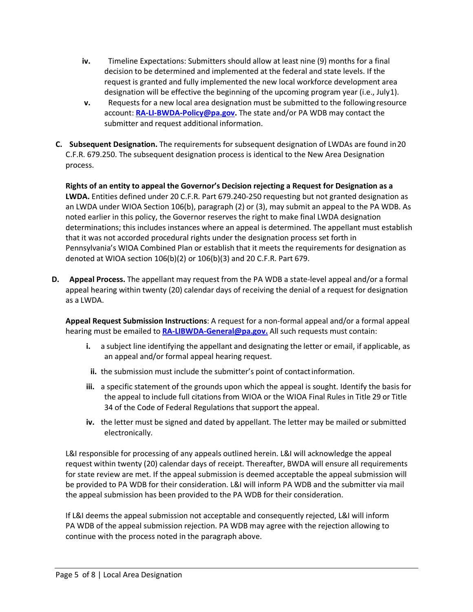- **iv.** Timeline Expectations: Submitters should allow at least nine (9) months for a final decision to be determined and implemented at the federal and state levels. If the request is granted and fully implemented the new local workforce development area designation will be effective the beginning of the upcoming program year (i.e., July1).
- **v.** Requests for a new local area designation must be submitted to the followingresource account: **[RA-LI-BWDA-Policy@pa.gov.](mailto:RA-LI-BWDA-Policy@pa.gov)** The state and/or PA WDB may contact the submitter and request additional information.
- **C. Subsequent Designation.** The requirements for subsequent designation of LWDAs are found in20 C.F.R. 679.250. The subsequent designation process is identical to the New Area Designation process.

**Rights of an entity to appeal the Governor's Decision rejecting a Request for Designation as a LWDA.** Entities defined under 20 C.F.R. Part 679.240-250 requesting but not granted designation as an LWDA under WIOA Section 106(b), paragraph (2) or (3), may submit an appeal to the PA WDB. As noted earlier in this policy, the Governor reserves the right to make final LWDA designation determinations; this includes instances where an appeal is determined. The appellant must establish that it was not accorded procedural rights under the designation process set forth in Pennsylvania's WIOA Combined Plan or establish that it meets the requirements for designation as denoted at WIOA section 106(b)(2) or 106(b)(3) and 20 C.F.R. Part 679.

**D. Appeal Process.** The appellant may request from the PA WDB a state-level appeal and/or a formal appeal hearing within twenty (20) calendar days of receiving the denial of a request for designation as a LWDA.

**Appeal Request Submission Instructions**: A request for a non-formal appeal and/or a formal appeal hearing must be emailed to **[RA-LIBWDA-General@pa.gov.](mailto:RA-LIBWDA-General@pa.gov)** All such requests must contain:

- **i.** a subject line identifying the appellant and designating the letter or email, if applicable, as an appeal and/or formal appeal hearing request.
- **ii.** the submission must include the submitter's point of contactinformation.
- **iii.** a specific statement of the grounds upon which the appeal is sought. Identify the basis for the appeal to include full citations from WIOA or the WIOA Final Rules in Title 29 or Title 34 of the Code of Federal Regulations that support the appeal.
- **iv.** the letter must be signed and dated by appellant. The letter may be mailed or submitted electronically.

L&I responsible for processing of any appeals outlined herein. L&I will acknowledge the appeal request within twenty (20) calendar days of receipt. Thereafter, BWDA will ensure all requirements for state review are met. If the appeal submission is deemed acceptable the appeal submission will be provided to PA WDB for their consideration. L&I will inform PA WDB and the submitter via mail the appeal submission has been provided to the PA WDB for their consideration.

If L&I deems the appeal submission not acceptable and consequently rejected, L&I will inform PA WDB of the appeal submission rejection. PA WDB may agree with the rejection allowing to continue with the process noted in the paragraph above.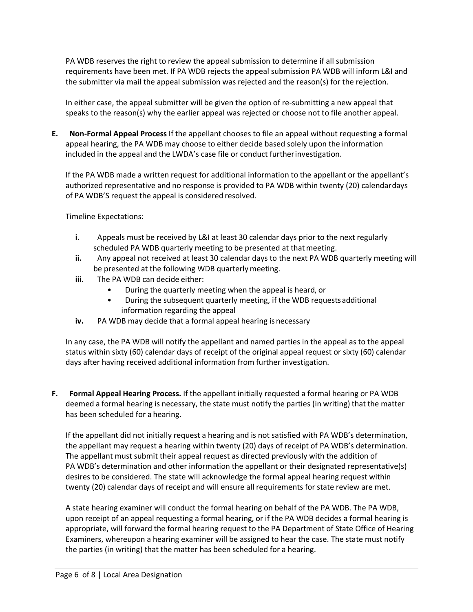PA WDB reserves the right to review the appeal submission to determine if all submission requirements have been met. If PA WDB rejects the appeal submission PA WDB will inform L&I and the submitter via mail the appeal submission was rejected and the reason(s) for the rejection.

In either case, the appeal submitter will be given the option of re-submitting a new appeal that speaks to the reason(s) why the earlier appeal was rejected or choose not to file another appeal.

**E. Non-Formal Appeal Process** If the appellant chooses to file an appeal without requesting a formal appeal hearing, the PA WDB may choose to either decide based solely upon the information included in the appeal and the LWDA's case file or conduct furtherinvestigation.

If the PA WDB made a written request for additional information to the appellant or the appellant's authorized representative and no response is provided to PA WDB within twenty (20) calendardays of PA WDB'S request the appeal is considered resolved.

Timeline Expectations:

- **i.** Appeals must be received by L&I at least 30 calendar days prior to the next regularly scheduled PA WDB quarterly meeting to be presented at that meeting.
- **ii.** Any appeal not received at least 30 calendar days to the next PA WDB quarterly meeting will be presented at the following WDB quarterlymeeting.
- **iii.** The PA WDB can decide either:
	- During the quarterly meeting when the appeal is heard, or
	- During the subsequent quarterly meeting, if the WDB requestsadditional information regarding the appeal
- **iv.** PA WDB may decide that a formal appeal hearing isnecessary

In any case, the PA WDB will notify the appellant and named parties in the appeal as to the appeal status within sixty (60) calendar days of receipt of the original appeal request or sixty (60) calendar days after having received additional information from further investigation.

**F. Formal Appeal Hearing Process.** If the appellant initially requested a formal hearing or PA WDB deemed a formal hearing is necessary, the state must notify the parties (in writing) that the matter has been scheduled for a hearing.

If the appellant did not initially request a hearing and is not satisfied with PA WDB's determination, the appellant may request a hearing within twenty (20) days of receipt of PA WDB's determination. The appellant must submit their appeal request as directed previously with the addition of PA WDB's determination and other information the appellant or their designated representative(s) desires to be considered. The state will acknowledge the formal appeal hearing request within twenty (20) calendar days of receipt and will ensure all requirements for state review are met.

A state hearing examiner will conduct the formal hearing on behalf of the PA WDB. The PA WDB, upon receipt of an appeal requesting a formal hearing, or if the PA WDB decides a formal hearing is appropriate, will forward the formal hearing request to the PA Department of State Office of Hearing Examiners, whereupon a hearing examiner will be assigned to hear the case. The state must notify the parties (in writing) that the matter has been scheduled for a hearing.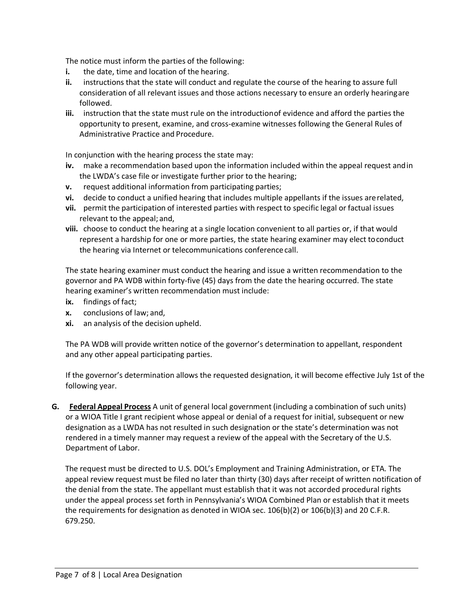The notice must inform the parties of the following:

- **i.** the date, time and location of the hearing.
- **ii.** instructions that the state will conduct and regulate the course of the hearing to assure full consideration of all relevant issues and those actions necessary to ensure an orderly hearingare followed.
- **iii.** instruction that the state must rule on the introductionof evidence and afford the parties the opportunity to present, examine, and cross-examine witnesses following the General Rules of Administrative Practice and Procedure.

In conjunction with the hearing process the state may:

- **iv.** make a recommendation based upon the information included within the appeal request andin the LWDA's case file or investigate further prior to the hearing;
- **v.** request additional information from participating parties;
- **vi.** decide to conduct a unified hearing that includes multiple appellants if the issues arerelated,
- **vii.** permit the participation of interested parties with respect to specific legal or factual issues relevant to the appeal; and,
- **viii.** choose to conduct the hearing at a single location convenient to all parties or, if that would represent a hardship for one or more parties, the state hearing examiner may elect toconduct the hearing via Internet or telecommunications conference call.

The state hearing examiner must conduct the hearing and issue a written recommendation to the governor and PA WDB within forty-five (45) days from the date the hearing occurred. The state hearing examiner's written recommendation must include:

- **ix.** findings of fact;
- **x.** conclusions of law; and,
- **xi.** an analysis of the decision upheld.

The PA WDB will provide written notice of the governor's determination to appellant, respondent and any other appeal participating parties.

If the governor's determination allows the requested designation, it will become effective July 1st of the following year.

**G. Federal Appeal Process** A unit of general local government (including a combination of such units) or a WIOA Title I grant recipient whose appeal or denial of a request for initial, subsequent or new designation as a LWDA has not resulted in such designation or the state's determination was not rendered in a timely manner may request a review of the appeal with the Secretary of the U.S. Department of Labor.

The request must be directed to U.S. DOL's Employment and Training Administration, or ETA. The appeal review request must be filed no later than thirty (30) days after receipt of written notification of the denial from the state. The appellant must establish that it was not accorded procedural rights under the appeal process set forth in Pennsylvania's WIOA Combined Plan or establish that it meets the requirements for designation as denoted in WIOA sec. 106(b)(2) or 106(b)(3) and 20 C.F.R. 679.250.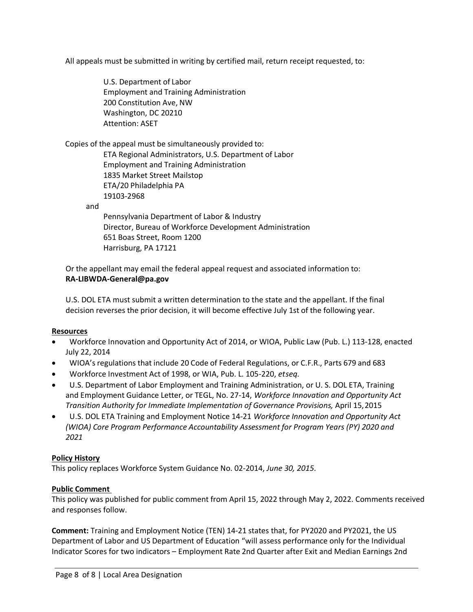All appeals must be submitted in writing by certified mail, return receipt requested, to:

U.S. Department of Labor Employment and Training Administration 200 Constitution Ave, NW Washington, DC 20210 Attention: ASET

Copies of the appeal must be simultaneously provided to:

ETA Regional Administrators, U.S. Department of Labor Employment and Training Administration 1835 Market Street Mailstop ETA/20 Philadelphia PA 19103-2968

and

Pennsylvania Department of Labor & Industry Director, Bureau of Workforce Development Administration 651 Boas Street, Room 1200 Harrisburg, PA 17121

Or the appellant may email the federal appeal request and associated information to: **[RA-LIBWDA-General@pa.gov](mailto:RA-LIBWDA-General@pa.gov)**

U.S. DOL ETA must submit a written determination to the state and the appellant. If the final decision reverses the prior decision, it will become effective July 1st of the following year.

#### **Resources**

- Workforce Innovation and Opportunity Act of 2014, or WIOA, Public Law (Pub. L.) 113-128, enacted July 22, 2014
- WIOA's regulations that include 20 Code of Federal Regulations, or C.F.R., Parts 679 and 683
- Workforce Investment Act of 1998, or WIA, Pub. L. 105-220, *etseq.*
- U.S. Department of Labor Employment and Training Administration, or U. S. DOL ETA, Training and Employment Guidance Letter, or TEGL, No. 27-14, *Workforce Innovation and Opportunity Act Transition Authority for Immediate Implementation of Governance Provisions,* April 15,2015
- U.S. DOL ETA Training and Employment Notice 14-21 *Workforce Innovation and Opportunity Act (WIOA) Core Program Performance Accountability Assessment for Program Years (PY) 2020 and 2021*

# **Policy History**

This policy replaces Workforce System Guidance No. 02-2014, *June 30, 2015*.

# **Public Comment**

This policy was published for public comment from April 15, 2022 through May 2, 2022. Comments received and responses follow.

**Comment:** Training and Employment Notice (TEN) 14-21 states that, for PY2020 and PY2021, the US Department of Labor and US Department of Education "will assess performance only for the Individual Indicator Scores for two indicators – Employment Rate 2nd Quarter after Exit and Median Earnings 2nd